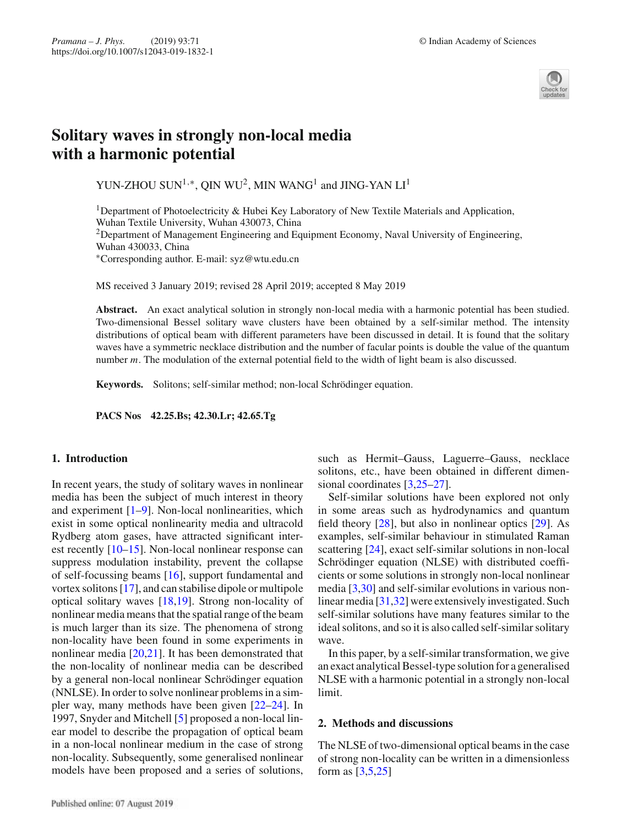

# **Solitary waves in strongly non-local media with a harmonic potential**

YUN-ZHOU SUN<sup>1,∗</sup>, QIN WU<sup>2</sup>, MIN WANG<sup>1</sup> and JING-YAN  $\mathrm{L} \mathrm{I}^1$ 

<sup>1</sup>Department of Photoelectricity & Hubei Key Laboratory of New Textile Materials and Application, Wuhan Textile University, Wuhan 430073, China

<sup>2</sup>Department of Management Engineering and Equipment Economy, Naval University of Engineering,

Wuhan 430033, China

∗Corresponding author. E-mail: syz@wtu.edu.cn

MS received 3 January 2019; revised 28 April 2019; accepted 8 May 2019

**Abstract.** An exact analytical solution in strongly non-local media with a harmonic potential has been studied. Two-dimensional Bessel solitary wave clusters have been obtained by a self-similar method. The intensity distributions of optical beam with different parameters have been discussed in detail. It is found that the solitary waves have a symmetric necklace distribution and the number of facular points is double the value of the quantum number *m*. The modulation of the external potential field to the width of light beam is also discussed.

**Keywords.** Solitons; self-similar method; non-local Schrödinger equation.

**PACS Nos 42.25.Bs; 42.30.Lr; 42.65.Tg**

## **1. Introduction**

In recent years, the study of solitary waves in nonlinear media has been the subject of much interest in theory and experiment  $[1-9]$ . Non-local nonlinearities, which exist in some optical nonlinearity media and ultracold Rydberg atom gases, have attracted significant interest recently [10–15]. Non-local nonlinear response can suppress modulation instability, prevent the collapse of self-focussing beams [16], support fundamental and vortex solitons [17], and can stabilise dipole or multipole optical solitary waves [18,19]. Strong non-locality of nonlinear media means that the spatial range of the beam is much larger than its size. The phenomena of strong non-locality have been found in some experiments in nonlinear media [20,21]. It has been demonstrated that the non-locality of nonlinear media can be described by a general non-local nonlinear Schrödinger equation (NNLSE). In order to solve nonlinear problems in a simpler way, many methods have been given [22–24]. In 1997, Snyder and Mitchell [5] proposed a non-local linear model to describe the propagation of optical beam in a non-local nonlinear medium in the case of strong non-locality. Subsequently, some generalised nonlinear models have been proposed and a series of solutions, such as Hermit–Gauss, Laguerre–Gauss, necklace solitons, etc., have been obtained in different dimensional coordinates [3,25–27].

Self-similar solutions have been explored not only in some areas such as hydrodynamics and quantum field theory [28], but also in nonlinear optics [29]. As examples, self-similar behaviour in stimulated Raman scattering [24], exact self-similar solutions in non-local Schrödinger equation (NLSE) with distributed coefficients or some solutions in strongly non-local nonlinear media [3,30] and self-similar evolutions in various nonlinear media [31,32] were extensively investigated. Such self-similar solutions have many features similar to the ideal solitons, and so it is also called self-similar solitary wave.

In this paper, by a self-similar transformation, we give an exact analytical Bessel-type solution for a generalised NLSE with a harmonic potential in a strongly non-local limit.

## **2. Methods and discussions**

The NLSE of two-dimensional optical beams in the case of strong non-locality can be written in a dimensionless form as [3,5,25]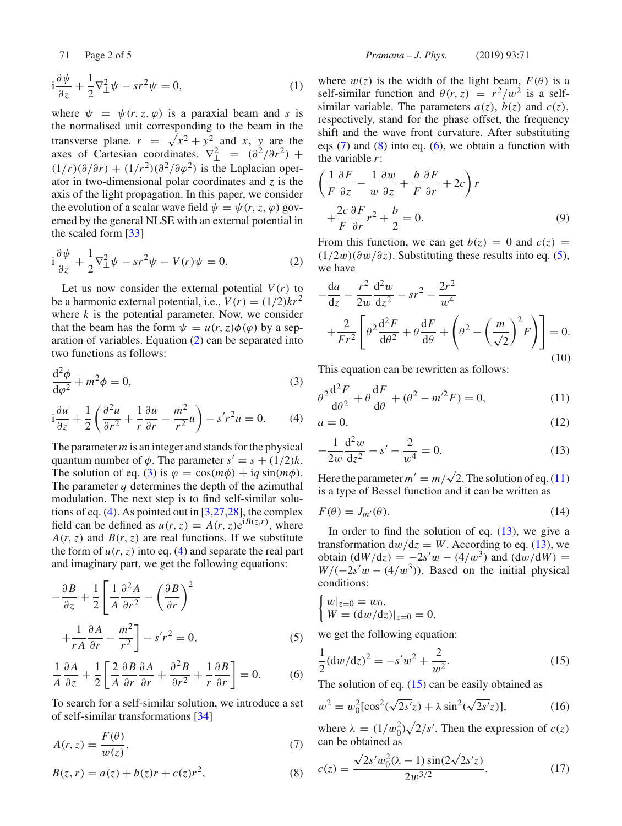$$
i\frac{\partial \psi}{\partial z} + \frac{1}{2}\nabla_{\perp}^{2} \psi - sr^{2} \psi = 0, \qquad (1)
$$

where  $\psi = \psi(r, z, \varphi)$  is a paraxial beam and *s* is the normalised unit corresponding to the beam in the transverse plane.  $r = \sqrt{x^2 + y^2}$  and *x*, *y* are the axes of Cartesian coordinates.  $\nabla^2_{\perp} = (\partial^2/\partial r^2) +$  $(1/r)(\partial/\partial r) + (1/r^2)(\partial^2/\partial \varphi^2)$  is the Laplacian operator in two-dimensional polar coordinates and *z* is the axis of the light propagation. In this paper, we consider the evolution of a scalar wave field  $\psi = \psi(r, z, \varphi)$  governed by the general NLSE with an external potential in the scaled form [33]

$$
i\frac{\partial\psi}{\partial z} + \frac{1}{2}\nabla_{\perp}^{2}\psi - sr^{2}\psi - V(r)\psi = 0.
$$
 (2)

Let us now consider the external potential  $V(r)$  to be a harmonic external potential, i.e.,  $V(r) = (1/2)kr^2$ where  $k$  is the potential parameter. Now, we consider that the beam has the form  $\psi = u(r, z)\phi(\varphi)$  by a separation of variables. Equation (2) can be separated into two functions as follows:

$$
\frac{\mathrm{d}^2 \phi}{\mathrm{d}\varphi^2} + m^2 \phi = 0,\tag{3}
$$

$$
i\frac{\partial u}{\partial z} + \frac{1}{2} \left( \frac{\partial^2 u}{\partial r^2} + \frac{1}{r} \frac{\partial u}{\partial r} - \frac{m^2}{r^2} u \right) - s'r^2 u = 0. \tag{4}
$$

The parameter *m* is an integer and stands for the physical quantum number of  $\phi$ . The parameter  $s' = s + (1/2)k$ . The solution of eq. (3) is  $\varphi = \cos(m\phi) + iq \sin(m\phi)$ . The parameter *q* determines the depth of the azimuthal modulation. The next step is to find self-similar solutions of eq. (4). As pointed out in [3,27,28], the complex field can be defined as  $u(r, z) = A(r, z)e^{iB(z, r)}$ , where  $A(r, z)$  and  $B(r, z)$  are real functions. If we substitute the form of  $u(r, z)$  into eq. (4) and separate the real part and imaginary part, we get the following equations:

$$
-\frac{\partial B}{\partial z} + \frac{1}{2} \left[ \frac{1}{A} \frac{\partial^2 A}{\partial r^2} - \left( \frac{\partial B}{\partial r} \right)^2 + \frac{1}{rA} \frac{\partial A}{\partial r} - \frac{m^2}{r^2} \right] - s'r^2 = 0,
$$
 (5)

$$
\frac{1}{A}\frac{\partial A}{\partial z} + \frac{1}{2}\left[\frac{2}{A}\frac{\partial B}{\partial r}\frac{\partial A}{\partial r} + \frac{\partial^2 B}{\partial r^2} + \frac{1}{r}\frac{\partial B}{\partial r}\right] = 0.
$$
 (6)

To search for a self-similar solution, we introduce a set of self-similar transformations [34]

$$
A(r, z) = \frac{F(\theta)}{w(z)},
$$
\n(7)

$$
B(z, r) = a(z) + b(z)r + c(z)r^{2},
$$
 (8)

where  $w(z)$  is the width of the light beam,  $F(\theta)$  is a self-similar function and  $\theta(r, z) = r^2/w^2$  is a selfsimilar variable. The parameters  $a(z)$ ,  $b(z)$  and  $c(z)$ , respectively, stand for the phase offset, the frequency shift and the wave front curvature. After substituting eqs  $(7)$  and  $(8)$  into eq.  $(6)$ , we obtain a function with the variable *r*:

$$
\left(\frac{1}{F}\frac{\partial F}{\partial z} - \frac{1}{w}\frac{\partial w}{\partial z} + \frac{b}{F}\frac{\partial F}{\partial r} + 2c\right)r
$$

$$
+ \frac{2c}{F}\frac{\partial F}{\partial r}r^2 + \frac{b}{2} = 0.
$$
(9)

From this function, we can get  $b(z) = 0$  and  $c(z) = 0$  $(1/2w)(\partial w/\partial z)$ . Substituting these results into eq. (5), we have

$$
-\frac{da}{dz} - \frac{r^2}{2w} \frac{d^2w}{dz^2} - sr^2 - \frac{2r^2}{w^4}
$$
  
+ 
$$
\frac{2}{Fr^2} \left[ \theta^2 \frac{d^2F}{d\theta^2} + \theta \frac{dF}{d\theta} + \left( \theta^2 - \left( \frac{m}{\sqrt{2}} \right)^2 F \right) \right] = 0.
$$
  
(10)

This equation can be rewritten as follows:

$$
\theta^2 \frac{\mathrm{d}^2 F}{\mathrm{d}\theta^2} + \theta \frac{\mathrm{d} F}{\mathrm{d}\theta} + (\theta^2 - m'^2 F) = 0,\tag{11}
$$

$$
a = 0,\t(12)
$$

$$
-\frac{1}{2w}\frac{d^2w}{dz^2} - s' - \frac{2}{w^4} = 0.
$$
 (13)

Here the parameter  $m' = m/\sqrt{2}$ . The solution of eq. (11) is a type of Bessel function and it can be written as

$$
F(\theta) = J_{m'}(\theta). \tag{14}
$$

In order to find the solution of eq.  $(13)$ , we give a transformation  $dw/dz = W$ . According to eq. (13), we obtain  $(dW/dz) = -2s'w - (4/w^3)$  and  $(dw/dW) =$  $W/(-2s'w - (4/w^3))$ . Based on the initial physical conditions:

$$
\begin{cases} w|_{z=0} = w_0, \\ W = (dw/dz)|_{z=0} = 0, \end{cases}
$$

we get the following equation:

$$
\frac{1}{2}(\mathrm{d}w/\mathrm{d}z)^2 = -s'w^2 + \frac{2}{w^2}.\tag{15}
$$

The solution of eq. (15) can be easily obtained as

$$
w^{2} = w_{0}^{2}[\cos^{2}(\sqrt{2s'}z) + \lambda \sin^{2}(\sqrt{2s'}z)],
$$
 (16)

where  $\lambda = (1/w_0^2)\sqrt{2/s'}$ . Then the expression of *c*(*z*) can be obtained as

$$
c(z) = \frac{\sqrt{2s'}w_0^2(\lambda - 1)\sin(2\sqrt{2s'}z)}{2w^{3/2}}.
$$
 (17)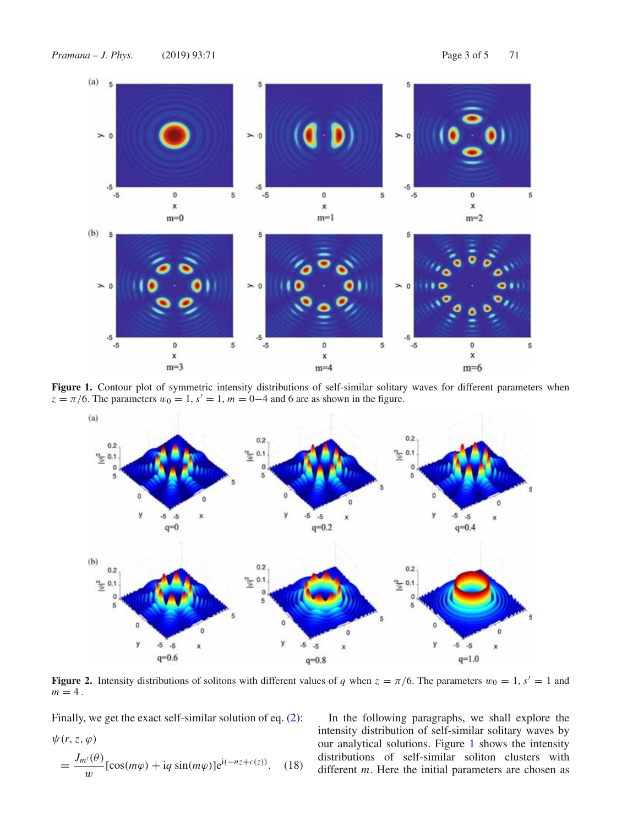

Figure 1. Contour plot of symmetric intensity distributions of self-similar solitary waves for different parameters when  $z = \pi/6$ . The parameters  $w_0 = 1$ ,  $s' = 1$ ,  $m = 0-4$  and 6 are as shown in the figure.



**Figure 2.** Intensity distributions of solitons with different values of *q* when  $z = \pi/6$ . The parameters  $w_0 = 1$ ,  $s' = 1$  and  $m = 4$ .

Finally, we get the exact self-similar solution of eq. (2):

$$
\psi(r, z, \varphi)
$$
  
= 
$$
\frac{J_{m'}(\theta)}{w} [\cos(m\varphi) + i q \sin(m\varphi)] e^{i(-nz + c(z))}. \quad (18)
$$

In the following paragraphs, we shall explore the intensity distribution of self-similar solitary waves by our analytical solutions. Figure 1 shows the intensity distributions of self-similar soliton clusters with different *m*. Here the initial parameters are chosen as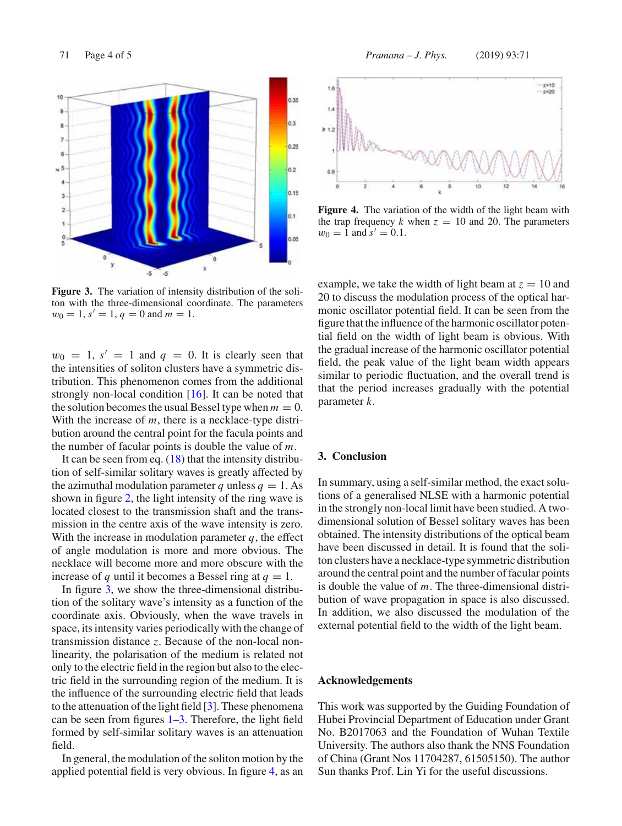

**Figure 3.** The variation of intensity distribution of the soliton with the three-dimensional coordinate. The parameters  $w_0 = 1$ ,  $s' = 1$ ,  $q = 0$  and  $m = 1$ .

 $w_0 = 1$ ,  $s' = 1$  and  $q = 0$ . It is clearly seen that the intensities of soliton clusters have a symmetric distribution. This phenomenon comes from the additional strongly non-local condition [16]. It can be noted that the solution becomes the usual Bessel type when  $m = 0$ . With the increase of *m*, there is a necklace-type distribution around the central point for the facula points and the number of facular points is double the value of *m*.

It can be seen from eq.  $(18)$  that the intensity distribution of self-similar solitary waves is greatly affected by the azimuthal modulation parameter *q* unless  $q = 1$ . As shown in figure 2, the light intensity of the ring wave is located closest to the transmission shaft and the transmission in the centre axis of the wave intensity is zero. With the increase in modulation parameter *q*, the effect of angle modulation is more and more obvious. The necklace will become more and more obscure with the increase of *q* until it becomes a Bessel ring at  $q = 1$ .

In figure 3, we show the three-dimensional distribution of the solitary wave's intensity as a function of the coordinate axis. Obviously, when the wave travels in space, its intensity varies periodically with the change of transmission distance *z*. Because of the non-local nonlinearity, the polarisation of the medium is related not only to the electric field in the region but also to the electric field in the surrounding region of the medium. It is the influence of the surrounding electric field that leads to the attenuation of the light field [3]. These phenomena can be seen from figures 1–3. Therefore, the light field formed by self-similar solitary waves is an attenuation field.

In general, the modulation of the soliton motion by the applied potential field is very obvious. In figure 4, as an



Figure 4. The variation of the width of the light beam with the trap frequency  $k$  when  $z = 10$  and 20. The parameters  $w_0 = 1$  and  $s' = 0.1$ .

example, we take the width of light beam at  $z = 10$  and 20 to discuss the modulation process of the optical harmonic oscillator potential field. It can be seen from the figure that the influence of the harmonic oscillator potential field on the width of light beam is obvious. With the gradual increase of the harmonic oscillator potential field, the peak value of the light beam width appears similar to periodic fluctuation, and the overall trend is that the period increases gradually with the potential parameter *k*.

#### **3. Conclusion**

In summary, using a self-similar method, the exact solutions of a generalised NLSE with a harmonic potential in the strongly non-local limit have been studied. A twodimensional solution of Bessel solitary waves has been obtained. The intensity distributions of the optical beam have been discussed in detail. It is found that the soliton clusters have a necklace-type symmetric distribution around the central point and the number of facular points is double the value of *m*. The three-dimensional distribution of wave propagation in space is also discussed. In addition, we also discussed the modulation of the external potential field to the width of the light beam.

#### **Acknowledgements**

This work was supported by the Guiding Foundation of Hubei Provincial Department of Education under Grant No. B2017063 and the Foundation of Wuhan Textile University. The authors also thank the NNS Foundation of China (Grant Nos 11704287, 61505150). The author Sun thanks Prof. Lin Yi for the useful discussions.